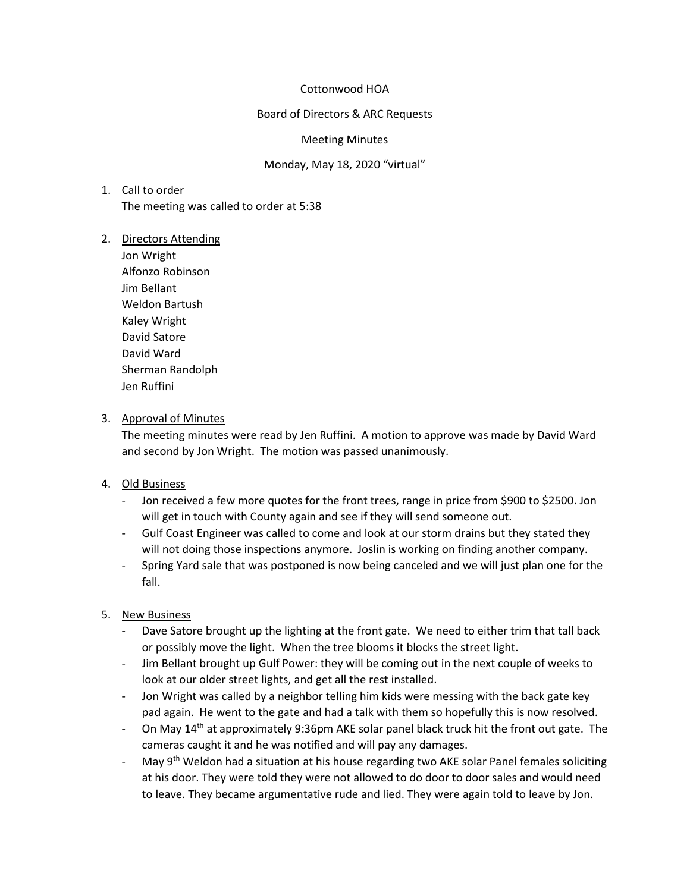#### Cottonwood HOA

#### Board of Directors & ARC Requests

#### Meeting Minutes

#### Monday, May 18, 2020 "virtual"

### 1. Call to order

The meeting was called to order at 5:38

#### 2. Directors Attending

Jon Wright Alfonzo Robinson Jim Bellant Weldon Bartush Kaley Wright David Satore David Ward Sherman Randolph Jen Ruffini

## 3. Approval of Minutes

The meeting minutes were read by Jen Ruffini. A motion to approve was made by David Ward and second by Jon Wright. The motion was passed unanimously.

# 4. Old Business

- Jon received a few more quotes for the front trees, range in price from \$900 to \$2500. Jon will get in touch with County again and see if they will send someone out.
- Gulf Coast Engineer was called to come and look at our storm drains but they stated they will not doing those inspections anymore. Joslin is working on finding another company.
- Spring Yard sale that was postponed is now being canceled and we will just plan one for the fall.

# 5. New Business

- Dave Satore brought up the lighting at the front gate. We need to either trim that tall back or possibly move the light. When the tree blooms it blocks the street light.
- Jim Bellant brought up Gulf Power: they will be coming out in the next couple of weeks to look at our older street lights, and get all the rest installed.
- Jon Wright was called by a neighbor telling him kids were messing with the back gate key pad again. He went to the gate and had a talk with them so hopefully this is now resolved.
- On May  $14<sup>th</sup>$  at approximately 9:36pm AKE solar panel black truck hit the front out gate. The cameras caught it and he was notified and will pay any damages.
- May 9<sup>th</sup> Weldon had a situation at his house regarding two AKE solar Panel females soliciting at his door. They were told they were not allowed to do door to door sales and would need to leave. They became argumentative rude and lied. They were again told to leave by Jon.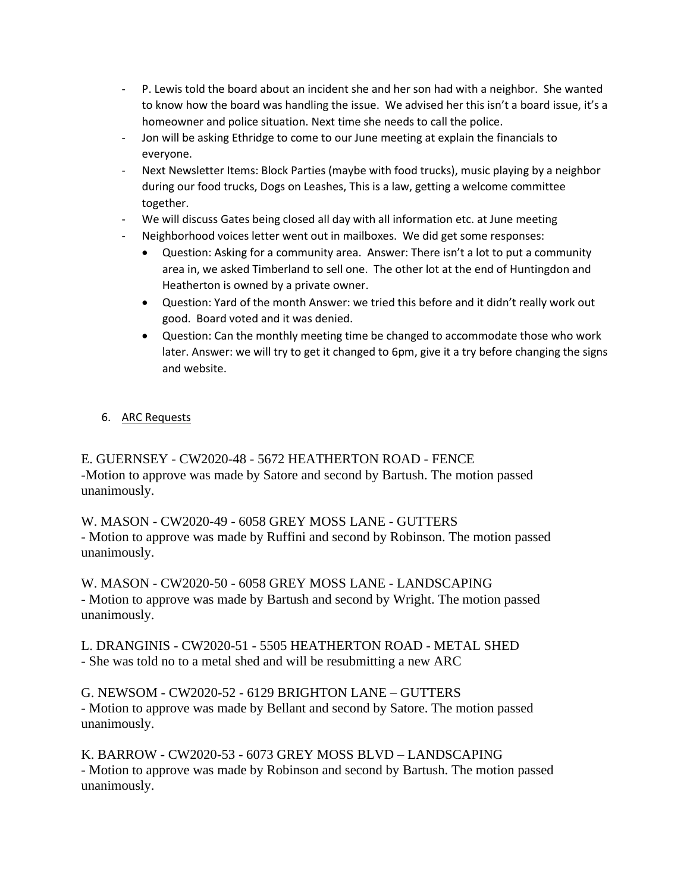- P. Lewis told the board about an incident she and her son had with a neighbor. She wanted to know how the board was handling the issue. We advised her this isn't a board issue, it's a homeowner and police situation. Next time she needs to call the police.
- Jon will be asking Ethridge to come to our June meeting at explain the financials to everyone.
- Next Newsletter Items: Block Parties (maybe with food trucks), music playing by a neighbor during our food trucks, Dogs on Leashes, This is a law, getting a welcome committee together.
- We will discuss Gates being closed all day with all information etc. at June meeting
- Neighborhood voices letter went out in mailboxes. We did get some responses:
	- Question: Asking for a community area. Answer: There isn't a lot to put a community area in, we asked Timberland to sell one. The other lot at the end of Huntingdon and Heatherton is owned by a private owner.
	- Question: Yard of the month Answer: we tried this before and it didn't really work out good. Board voted and it was denied.
	- Question: Can the monthly meeting time be changed to accommodate those who work later. Answer: we will try to get it changed to 6pm, give it a try before changing the signs and website.

# 6. ARC Requests

E. GUERNSEY - CW2020-48 - 5672 HEATHERTON ROAD - FENCE -Motion to approve was made by Satore and second by Bartush. The motion passed unanimously.

W. MASON - CW2020-49 - 6058 GREY MOSS LANE - GUTTERS - Motion to approve was made by Ruffini and second by Robinson. The motion passed unanimously.

W. MASON - CW2020-50 - 6058 GREY MOSS LANE - LANDSCAPING - Motion to approve was made by Bartush and second by Wright. The motion passed unanimously.

L. DRANGINIS - CW2020-51 - 5505 HEATHERTON ROAD - METAL SHED - She was told no to a metal shed and will be resubmitting a new ARC

G. NEWSOM - CW2020-52 - 6129 BRIGHTON LANE – GUTTERS - Motion to approve was made by Bellant and second by Satore. The motion passed unanimously.

K. BARROW - CW2020-53 - 6073 GREY MOSS BLVD – LANDSCAPING - Motion to approve was made by Robinson and second by Bartush. The motion passed unanimously.